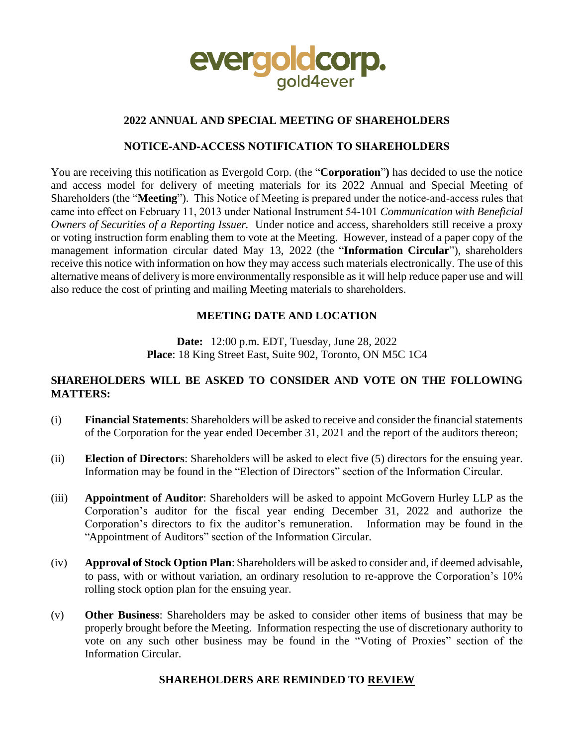

## **2022 ANNUAL AND SPECIAL MEETING OF SHAREHOLDERS**

### **NOTICE‐AND‐ACCESS NOTIFICATION TO SHAREHOLDERS**

You are receiving this notification as Evergold Corp. (the "**Corporation**"**)** has decided to use the notice and access model for delivery of meeting materials for its 2022 Annual and Special Meeting of Shareholders (the "**Meeting**"). This Notice of Meeting is prepared under the notice-and-access rules that came into effect on February 11, 2013 under National Instrument 54‐101 *Communication with Beneficial Owners of Securities of a Reporting Issuer.* Under notice and access, shareholders still receive a proxy or voting instruction form enabling them to vote at the Meeting. However, instead of a paper copy of the management information circular dated May 13, 2022 (the "**Information Circular**"), shareholders receive this notice with information on how they may access such materials electronically. The use of this alternative means of delivery is more environmentally responsible as it will help reduce paper use and will also reduce the cost of printing and mailing Meeting materials to shareholders.

## **MEETING DATE AND LOCATION**

**Date:** 12:00 p.m. EDT, Tuesday, June 28, 2022 **Place**: 18 King Street East, Suite 902, Toronto, ON M5C 1C4

## **SHAREHOLDERS WILL BE ASKED TO CONSIDER AND VOTE ON THE FOLLOWING MATTERS:**

- (i) **Financial Statements**: Shareholders will be asked to receive and consider the financial statements of the Corporation for the year ended December 31, 2021 and the report of the auditors thereon;
- (ii) **Election of Directors**: Shareholders will be asked to elect five (5) directors for the ensuing year. Information may be found in the "Election of Directors" section of the Information Circular.
- (iii) **Appointment of Auditor**: Shareholders will be asked to appoint McGovern Hurley LLP as the Corporation's auditor for the fiscal year ending December 31, 2022 and authorize the Corporation's directors to fix the auditor's remuneration. Information may be found in the "Appointment of Auditors" section of the Information Circular.
- (iv) **Approval of Stock Option Plan**: Shareholders will be asked to consider and, if deemed advisable, to pass, with or without variation, an ordinary resolution to re-approve the Corporation's 10% rolling stock option plan for the ensuing year.
- (v) **Other Business**: Shareholders may be asked to consider other items of business that may be properly brought before the Meeting. Information respecting the use of discretionary authority to vote on any such other business may be found in the "Voting of Proxies" section of the Information Circular.

## **SHAREHOLDERS ARE REMINDED TO REVIEW**